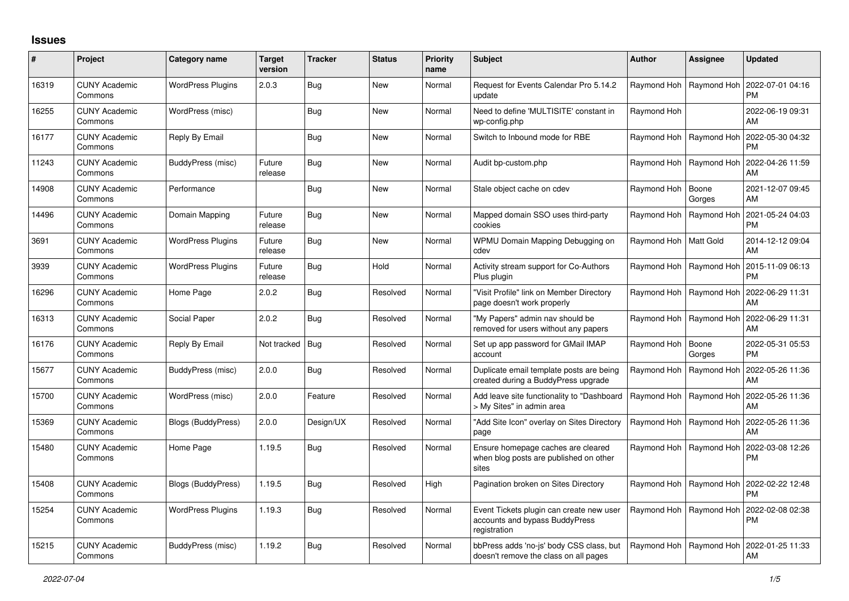## **Issues**

| #     | Project                         | Category name            | <b>Target</b><br>version | <b>Tracker</b> | <b>Status</b> | <b>Priority</b><br>name | <b>Subject</b>                                                                             | <b>Author</b>           | Assignee        | <b>Updated</b>                |
|-------|---------------------------------|--------------------------|--------------------------|----------------|---------------|-------------------------|--------------------------------------------------------------------------------------------|-------------------------|-----------------|-------------------------------|
| 16319 | <b>CUNY Academic</b><br>Commons | <b>WordPress Plugins</b> | 2.0.3                    | <b>Bug</b>     | <b>New</b>    | Normal                  | Request for Events Calendar Pro 5.14.2<br>update                                           | Raymond Hoh             | Raymond Hoh     | 2022-07-01 04:16<br><b>PM</b> |
| 16255 | <b>CUNY Academic</b><br>Commons | WordPress (misc)         |                          | <b>Bug</b>     | <b>New</b>    | Normal                  | Need to define 'MULTISITE' constant in<br>wp-config.php                                    | Raymond Hoh             |                 | 2022-06-19 09:31<br>AM        |
| 16177 | <b>CUNY Academic</b><br>Commons | Reply By Email           |                          | <b>Bug</b>     | <b>New</b>    | Normal                  | Switch to Inbound mode for RBE                                                             | Raymond Hoh             | Raymond Hoh     | 2022-05-30 04:32<br><b>PM</b> |
| 11243 | <b>CUNY Academic</b><br>Commons | BuddyPress (misc)        | Future<br>release        | <b>Bug</b>     | <b>New</b>    | Normal                  | Audit bp-custom.php                                                                        | Raymond Hoh             | Raymond Hoh     | 2022-04-26 11:59<br>AM        |
| 14908 | <b>CUNY Academic</b><br>Commons | Performance              |                          | <b>Bug</b>     | New           | Normal                  | Stale object cache on cdev                                                                 | Raymond Hoh             | Boone<br>Gorges | 2021-12-07 09:45<br>AM        |
| 14496 | <b>CUNY Academic</b><br>Commons | Domain Mapping           | Future<br>release        | <b>Bug</b>     | <b>New</b>    | Normal                  | Mapped domain SSO uses third-party<br>cookies                                              | Raymond Hoh             | Raymond Hoh     | 2021-05-24 04:03<br><b>PM</b> |
| 3691  | <b>CUNY Academic</b><br>Commons | <b>WordPress Plugins</b> | Future<br>release        | <b>Bug</b>     | <b>New</b>    | Normal                  | WPMU Domain Mapping Debugging on<br>cdev                                                   | Raymond Hoh   Matt Gold |                 | 2014-12-12 09:04<br>AM        |
| 3939  | <b>CUNY Academic</b><br>Commons | <b>WordPress Plugins</b> | Future<br>release        | <b>Bug</b>     | Hold          | Normal                  | Activity stream support for Co-Authors<br>Plus plugin                                      | Raymond Hoh             | Raymond Hoh     | 2015-11-09 06:13<br><b>PM</b> |
| 16296 | <b>CUNY Academic</b><br>Commons | Home Page                | 2.0.2                    | <b>Bug</b>     | Resolved      | Normal                  | 'Visit Profile" link on Member Directory<br>page doesn't work properly                     | Raymond Hoh             | Raymond Hoh     | 2022-06-29 11:31<br>AM        |
| 16313 | <b>CUNY Academic</b><br>Commons | Social Paper             | 2.0.2                    | <b>Bug</b>     | Resolved      | Normal                  | 'My Papers" admin nav should be<br>removed for users without any papers                    | Raymond Hoh             | Raymond Hoh     | 2022-06-29 11:31<br>AM        |
| 16176 | <b>CUNY Academic</b><br>Commons | Reply By Email           | Not tracked   Bug        |                | Resolved      | Normal                  | Set up app password for GMail IMAP<br>account                                              | Raymond Hoh             | Boone<br>Gorges | 2022-05-31 05:53<br><b>PM</b> |
| 15677 | <b>CUNY Academic</b><br>Commons | BuddyPress (misc)        | 2.0.0                    | Bug            | Resolved      | Normal                  | Duplicate email template posts are being<br>created during a BuddyPress upgrade            | Raymond Hoh             | Raymond Hoh     | 2022-05-26 11:36<br>AM        |
| 15700 | <b>CUNY Academic</b><br>Commons | WordPress (misc)         | 2.0.0                    | Feature        | Resolved      | Normal                  | Add leave site functionality to "Dashboard<br>> My Sites" in admin area                    | Raymond Hoh             | Raymond Hoh     | 2022-05-26 11:36<br>AM        |
| 15369 | <b>CUNY Academic</b><br>Commons | Blogs (BuddyPress)       | 2.0.0                    | Design/UX      | Resolved      | Normal                  | 'Add Site Icon" overlay on Sites Directory<br>page                                         | Raymond Hoh             | Raymond Hoh     | 2022-05-26 11:36<br>AM        |
| 15480 | <b>CUNY Academic</b><br>Commons | Home Page                | 1.19.5                   | Bug            | Resolved      | Normal                  | Ensure homepage caches are cleared<br>when blog posts are published on other<br>sites      | Raymond Hoh             | Raymond Hoh     | 2022-03-08 12:26<br>PM        |
| 15408 | <b>CUNY Academic</b><br>Commons | Blogs (BuddyPress)       | 1.19.5                   | <b>Bug</b>     | Resolved      | High                    | Pagination broken on Sites Directory                                                       | Raymond Hoh             | Raymond Hoh     | 2022-02-22 12:48<br><b>PM</b> |
| 15254 | <b>CUNY Academic</b><br>Commons | <b>WordPress Plugins</b> | 1.19.3                   | <b>Bug</b>     | Resolved      | Normal                  | Event Tickets plugin can create new user<br>accounts and bypass BuddyPress<br>registration | Raymond Hoh             | Raymond Hoh     | 2022-02-08 02:38<br><b>PM</b> |
| 15215 | <b>CUNY Academic</b><br>Commons | BuddyPress (misc)        | 1.19.2                   | <b>Bug</b>     | Resolved      | Normal                  | bbPress adds 'no-js' body CSS class, but<br>doesn't remove the class on all pages          | Raymond Hoh             | Raymond Hoh     | 2022-01-25 11:33<br>AM        |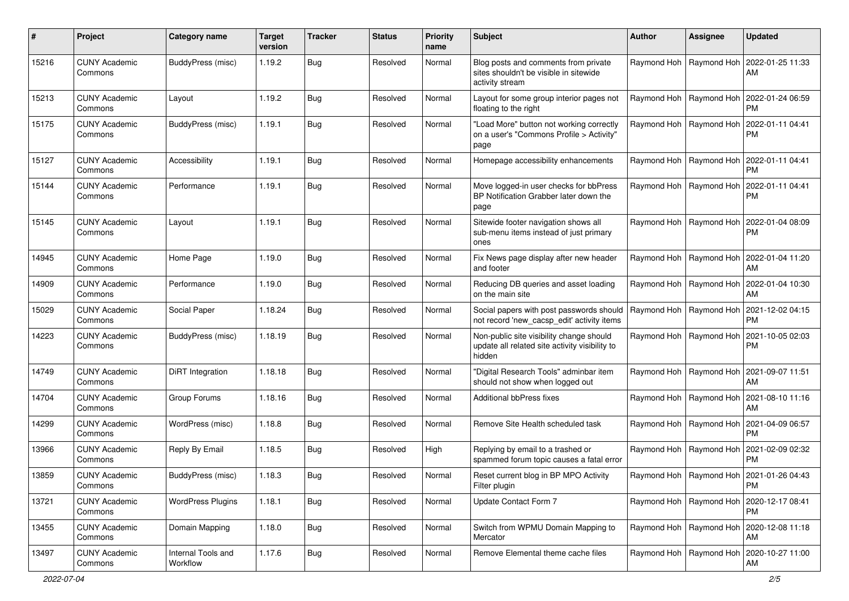| #     | Project                         | Category name                  | <b>Target</b><br>version | <b>Tracker</b> | <b>Status</b> | <b>Priority</b><br>name | <b>Subject</b>                                                                                       | <b>Author</b>             | Assignee                  | <b>Updated</b>                                            |
|-------|---------------------------------|--------------------------------|--------------------------|----------------|---------------|-------------------------|------------------------------------------------------------------------------------------------------|---------------------------|---------------------------|-----------------------------------------------------------|
| 15216 | <b>CUNY Academic</b><br>Commons | BuddyPress (misc)              | 1.19.2                   | <b>Bug</b>     | Resolved      | Normal                  | Blog posts and comments from private<br>sites shouldn't be visible in sitewide<br>activity stream    |                           | Raymond Hoh   Raymond Hoh | 2022-01-25 11:33<br>AM                                    |
| 15213 | <b>CUNY Academic</b><br>Commons | Layout                         | 1.19.2                   | <b>Bug</b>     | Resolved      | Normal                  | Layout for some group interior pages not<br>floating to the right                                    |                           | Raymond Hoh   Raymond Hoh | 2022-01-24 06:59<br>PM.                                   |
| 15175 | <b>CUNY Academic</b><br>Commons | BuddyPress (misc)              | 1.19.1                   | Bug            | Resolved      | Normal                  | "Load More" button not working correctly<br>on a user's "Commons Profile > Activity"<br>page         |                           | Raymond Hoh   Raymond Hoh | 2022-01-11 04:41<br><b>PM</b>                             |
| 15127 | <b>CUNY Academic</b><br>Commons | Accessibility                  | 1.19.1                   | Bug            | Resolved      | Normal                  | Homepage accessibility enhancements                                                                  |                           |                           | Raymond Hoh   Raymond Hoh   2022-01-11 04:41<br><b>PM</b> |
| 15144 | <b>CUNY Academic</b><br>Commons | Performance                    | 1.19.1                   | <b>Bug</b>     | Resolved      | Normal                  | Move logged-in user checks for bbPress<br>BP Notification Grabber later down the<br>page             |                           | Raymond Hoh   Raymond Hoh | 2022-01-11 04:41<br><b>PM</b>                             |
| 15145 | <b>CUNY Academic</b><br>Commons | Layout                         | 1.19.1                   | Bug            | Resolved      | Normal                  | Sitewide footer navigation shows all<br>sub-menu items instead of just primary<br>ones               |                           | Raymond Hoh   Raymond Hoh | 2022-01-04 08:09<br><b>PM</b>                             |
| 14945 | <b>CUNY Academic</b><br>Commons | Home Page                      | 1.19.0                   | Bug            | Resolved      | Normal                  | Fix News page display after new header<br>and footer                                                 |                           | Raymond Hoh   Raymond Hoh | 2022-01-04 11:20<br>AM                                    |
| 14909 | <b>CUNY Academic</b><br>Commons | Performance                    | 1.19.0                   | <b>Bug</b>     | Resolved      | Normal                  | Reducing DB queries and asset loading<br>on the main site                                            | Raymond Hoh               | Raymond Hoh               | 2022-01-04 10:30<br>AM                                    |
| 15029 | <b>CUNY Academic</b><br>Commons | Social Paper                   | 1.18.24                  | <b>Bug</b>     | Resolved      | Normal                  | Social papers with post passwords should<br>not record 'new_cacsp_edit' activity items               | Raymond Hoh   Raymond Hoh |                           | 2021-12-02 04:15<br><b>PM</b>                             |
| 14223 | <b>CUNY Academic</b><br>Commons | BuddyPress (misc)              | 1.18.19                  | Bug            | Resolved      | Normal                  | Non-public site visibility change should<br>update all related site activity visibility to<br>hidden |                           | Raymond Hoh   Raymond Hoh | 2021-10-05 02:03<br><b>PM</b>                             |
| 14749 | <b>CUNY Academic</b><br>Commons | DiRT Integration               | 1.18.18                  | <b>Bug</b>     | Resolved      | Normal                  | "Digital Research Tools" adminbar item<br>should not show when logged out                            |                           |                           | Raymond Hoh   Raymond Hoh   2021-09-07 11:51<br>AM        |
| 14704 | <b>CUNY Academic</b><br>Commons | Group Forums                   | 1.18.16                  | Bug            | Resolved      | Normal                  | <b>Additional bbPress fixes</b>                                                                      |                           | Raymond Hoh   Raymond Hoh | 2021-08-10 11:16<br>AM                                    |
| 14299 | <b>CUNY Academic</b><br>Commons | WordPress (misc)               | 1.18.8                   | <b>Bug</b>     | Resolved      | Normal                  | Remove Site Health scheduled task                                                                    |                           | Raymond Hoh   Raymond Hoh | 2021-04-09 06:57<br><b>PM</b>                             |
| 13966 | <b>CUNY Academic</b><br>Commons | Reply By Email                 | 1.18.5                   | <b>Bug</b>     | Resolved      | High                    | Replying by email to a trashed or<br>spammed forum topic causes a fatal error                        |                           | Raymond Hoh   Raymond Hoh | 2021-02-09 02:32<br><b>PM</b>                             |
| 13859 | <b>CUNY Academic</b><br>Commons | BuddyPress (misc)              | 1.18.3                   | Bug            | Resolved      | Normal                  | Reset current blog in BP MPO Activity<br>Filter plugin                                               |                           |                           | Raymond Hoh   Raymond Hoh   2021-01-26 04:43<br><b>PM</b> |
| 13721 | <b>CUNY Academic</b><br>Commons | <b>WordPress Plugins</b>       | 1.18.1                   | Bug            | Resolved      | Normal                  | Update Contact Form 7                                                                                |                           | Raymond Hoh   Raymond Hoh | 2020-12-17 08:41<br><b>PM</b>                             |
| 13455 | <b>CUNY Academic</b><br>Commons | Domain Mapping                 | 1.18.0                   | Bug            | Resolved      | Normal                  | Switch from WPMU Domain Mapping to<br>Mercator                                                       |                           | Raymond Hoh   Raymond Hoh | 2020-12-08 11:18<br>AM                                    |
| 13497 | <b>CUNY Academic</b><br>Commons | Internal Tools and<br>Workflow | 1.17.6                   | <b>Bug</b>     | Resolved      | Normal                  | Remove Elemental theme cache files                                                                   |                           | Raymond Hoh   Raymond Hoh | 2020-10-27 11:00<br>AM                                    |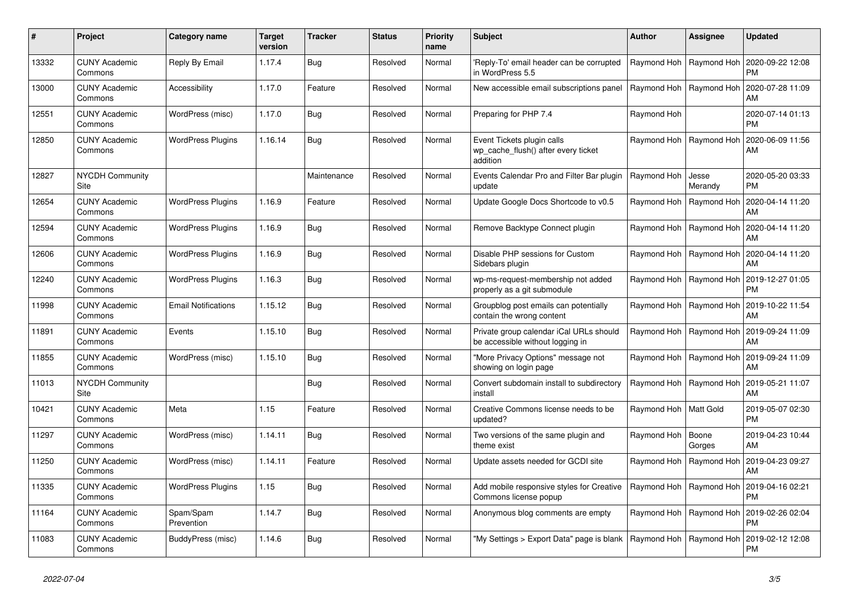| #     | Project                         | Category name              | <b>Target</b><br>version | <b>Tracker</b> | <b>Status</b> | <b>Priority</b><br>name | <b>Subject</b>                                                                | <b>Author</b>             | Assignee                  | Updated                       |
|-------|---------------------------------|----------------------------|--------------------------|----------------|---------------|-------------------------|-------------------------------------------------------------------------------|---------------------------|---------------------------|-------------------------------|
| 13332 | <b>CUNY Academic</b><br>Commons | Reply By Email             | 1.17.4                   | Bug            | Resolved      | Normal                  | Reply-To' email header can be corrupted<br>in WordPress 5.5                   | Raymond Hoh   Raymond Hoh |                           | 2020-09-22 12:08<br>PM        |
| 13000 | <b>CUNY Academic</b><br>Commons | Accessibility              | 1.17.0                   | Feature        | Resolved      | Normal                  | New accessible email subscriptions panel                                      | Raymond Hoh               | Raymond Hoh               | 2020-07-28 11:09<br>AM        |
| 12551 | <b>CUNY Academic</b><br>Commons | WordPress (misc)           | 1.17.0                   | Bug            | Resolved      | Normal                  | Preparing for PHP 7.4                                                         | Raymond Hoh               |                           | 2020-07-14 01:13<br>РM        |
| 12850 | <b>CUNY Academic</b><br>Commons | <b>WordPress Plugins</b>   | 1.16.14                  | <b>Bug</b>     | Resolved      | Normal                  | Event Tickets plugin calls<br>wp cache flush() after every ticket<br>addition |                           | Raymond Hoh   Raymond Hoh | 2020-06-09 11:56<br>AM        |
| 12827 | <b>NYCDH Community</b><br>Site  |                            |                          | Maintenance    | Resolved      | Normal                  | Events Calendar Pro and Filter Bar plugin<br>update                           | Raymond Hoh               | Jesse<br>Merandy          | 2020-05-20 03:33<br><b>PM</b> |
| 12654 | <b>CUNY Academic</b><br>Commons | <b>WordPress Plugins</b>   | 1.16.9                   | Feature        | Resolved      | Normal                  | Update Google Docs Shortcode to v0.5                                          |                           | Raymond Hoh   Raymond Hoh | 2020-04-14 11:20<br>AM        |
| 12594 | <b>CUNY Academic</b><br>Commons | <b>WordPress Plugins</b>   | 1.16.9                   | Bug            | Resolved      | Normal                  | Remove Backtype Connect plugin                                                | Raymond Hoh               | Raymond Hoh               | 2020-04-14 11:20<br>AM        |
| 12606 | <b>CUNY Academic</b><br>Commons | <b>WordPress Plugins</b>   | 1.16.9                   | <b>Bug</b>     | Resolved      | Normal                  | Disable PHP sessions for Custom<br>Sidebars plugin                            | Raymond Hoh               | Raymond Hoh               | 2020-04-14 11:20<br>AM        |
| 12240 | <b>CUNY Academic</b><br>Commons | <b>WordPress Plugins</b>   | 1.16.3                   | Bug            | Resolved      | Normal                  | wp-ms-request-membership not added<br>properly as a git submodule             |                           | Raymond Hoh   Raymond Hoh | 2019-12-27 01:05<br>PM        |
| 11998 | <b>CUNY Academic</b><br>Commons | <b>Email Notifications</b> | 1.15.12                  | <b>Bug</b>     | Resolved      | Normal                  | Groupblog post emails can potentially<br>contain the wrong content            |                           | Raymond Hoh   Raymond Hoh | 2019-10-22 11:54<br>AM        |
| 11891 | <b>CUNY Academic</b><br>Commons | Events                     | 1.15.10                  | Bug            | Resolved      | Normal                  | Private group calendar iCal URLs should<br>be accessible without logging in   | Raymond Hoh               | Raymond Hoh               | 2019-09-24 11:09<br>AM        |
| 11855 | <b>CUNY Academic</b><br>Commons | WordPress (misc)           | 1.15.10                  | <b>Bug</b>     | Resolved      | Normal                  | "More Privacy Options" message not<br>showing on login page                   |                           | Raymond Hoh   Raymond Hoh | 2019-09-24 11:09<br>AM        |
| 11013 | <b>NYCDH Community</b><br>Site  |                            |                          | <b>Bug</b>     | Resolved      | Normal                  | Convert subdomain install to subdirectory<br>install                          | Raymond Hoh               | Raymond Hoh               | 2019-05-21 11:07<br>AM        |
| 10421 | <b>CUNY Academic</b><br>Commons | Meta                       | 1.15                     | Feature        | Resolved      | Normal                  | Creative Commons license needs to be<br>updated?                              | Raymond Hoh   Matt Gold   |                           | 2019-05-07 02:30<br><b>PM</b> |
| 11297 | <b>CUNY Academic</b><br>Commons | WordPress (misc)           | 1.14.11                  | <b>Bug</b>     | Resolved      | Normal                  | Two versions of the same plugin and<br>theme exist                            | Raymond Hoh               | l Boone<br>Gorges         | 2019-04-23 10:44<br><b>AM</b> |
| 11250 | <b>CUNY Academic</b><br>Commons | WordPress (misc)           | 1.14.11                  | Feature        | Resolved      | Normal                  | Update assets needed for GCDI site                                            | Raymond Hoh               | Raymond Hoh               | 2019-04-23 09:27<br>AM        |
| 11335 | <b>CUNY Academic</b><br>Commons | <b>WordPress Plugins</b>   | 1.15                     | Bug            | Resolved      | Normal                  | Add mobile responsive styles for Creative<br>Commons license popup            | Raymond Hoh   Raymond Hoh |                           | 2019-04-16 02:21<br>PM        |
| 11164 | <b>CUNY Academic</b><br>Commons | Spam/Spam<br>Prevention    | 1.14.7                   | Bug            | Resolved      | Normal                  | Anonymous blog comments are empty                                             |                           | Raymond Hoh   Raymond Hoh | 2019-02-26 02:04<br><b>PM</b> |
| 11083 | <b>CUNY Academic</b><br>Commons | BuddyPress (misc)          | 1.14.6                   | Bug            | Resolved      | Normal                  | "My Settings > Export Data" page is blank   Raymond Hoh   Raymond Hoh         |                           |                           | 2019-02-12 12:08<br><b>PM</b> |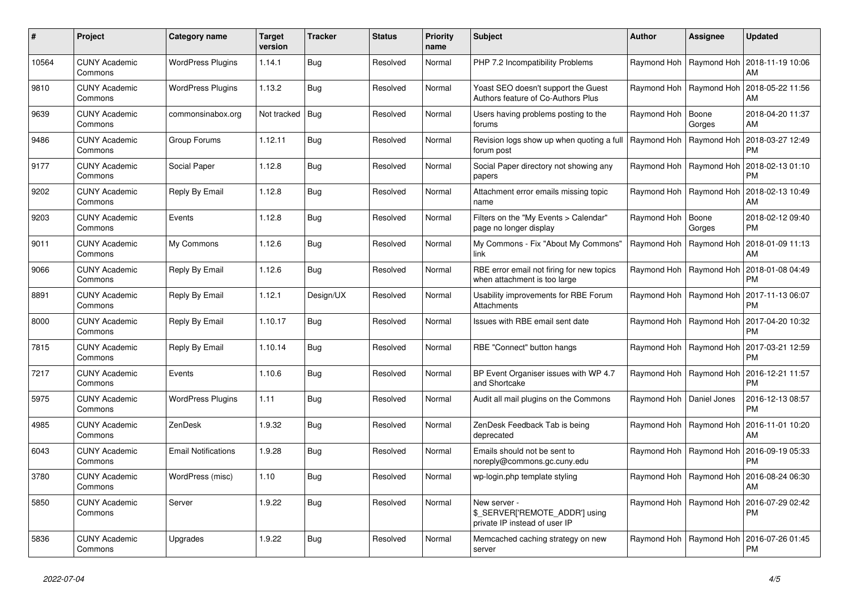| #     | Project                         | Category name              | <b>Target</b><br>version | Tracker    | <b>Status</b> | <b>Priority</b><br>name | <b>Subject</b>                                                                  | <b>Author</b>              | Assignee                  | <b>Updated</b>                                            |
|-------|---------------------------------|----------------------------|--------------------------|------------|---------------|-------------------------|---------------------------------------------------------------------------------|----------------------------|---------------------------|-----------------------------------------------------------|
| 10564 | <b>CUNY Academic</b><br>Commons | <b>WordPress Plugins</b>   | 1.14.1                   | Bug        | Resolved      | Normal                  | PHP 7.2 Incompatibility Problems                                                |                            | Raymond Hoh   Raymond Hoh | 2018-11-19 10:06<br>AM                                    |
| 9810  | <b>CUNY Academic</b><br>Commons | <b>WordPress Plugins</b>   | 1.13.2                   | Bug        | Resolved      | Normal                  | Yoast SEO doesn't support the Guest<br>Authors feature of Co-Authors Plus       |                            | Raymond Hoh   Raymond Hoh | 2018-05-22 11:56<br>AM                                    |
| 9639  | <b>CUNY Academic</b><br>Commons | commonsinabox.org          | Not tracked   Bug        |            | Resolved      | Normal                  | Users having problems posting to the<br>forums                                  | Raymond Hoh   Boone        | Gorges                    | 2018-04-20 11:37<br>AM                                    |
| 9486  | <b>CUNY Academic</b><br>Commons | Group Forums               | 1.12.11                  | Bug        | Resolved      | Normal                  | Revision logs show up when quoting a full<br>forum post                         |                            | Raymond Hoh   Raymond Hoh | 2018-03-27 12:49<br><b>PM</b>                             |
| 9177  | <b>CUNY Academic</b><br>Commons | Social Paper               | 1.12.8                   | Bug        | Resolved      | Normal                  | Social Paper directory not showing any<br>papers                                |                            | Raymond Hoh   Raymond Hoh | 2018-02-13 01:10<br><b>PM</b>                             |
| 9202  | <b>CUNY Academic</b><br>Commons | Reply By Email             | 1.12.8                   | Bug        | Resolved      | Normal                  | Attachment error emails missing topic<br>name                                   |                            | Raymond Hoh   Raymond Hoh | 2018-02-13 10:49<br>AM                                    |
| 9203  | <b>CUNY Academic</b><br>Commons | Events                     | 1.12.8                   | Bug        | Resolved      | Normal                  | Filters on the "My Events > Calendar"<br>page no longer display                 | Raymond Hoh                | Boone<br>Gorges           | 2018-02-12 09:40<br><b>PM</b>                             |
| 9011  | <b>CUNY Academic</b><br>Commons | My Commons                 | 1.12.6                   | Bug        | Resolved      | Normal                  | My Commons - Fix "About My Commons"<br>link                                     | Raymond Hoh                | Raymond Hoh               | 2018-01-09 11:13<br>AM                                    |
| 9066  | <b>CUNY Academic</b><br>Commons | Reply By Email             | 1.12.6                   | <b>Bug</b> | Resolved      | Normal                  | RBE error email not firing for new topics<br>when attachment is too large       |                            | Raymond Hoh   Raymond Hoh | 2018-01-08 04:49<br><b>PM</b>                             |
| 8891  | <b>CUNY Academic</b><br>Commons | Reply By Email             | 1.12.1                   | Design/UX  | Resolved      | Normal                  | Usability improvements for RBE Forum<br>Attachments                             |                            | Raymond Hoh   Raymond Hoh | 2017-11-13 06:07<br><b>PM</b>                             |
| 8000  | <b>CUNY Academic</b><br>Commons | Reply By Email             | 1.10.17                  | Bug        | Resolved      | Normal                  | Issues with RBE email sent date                                                 |                            | Raymond Hoh   Raymond Hoh | 2017-04-20 10:32<br><b>PM</b>                             |
| 7815  | <b>CUNY Academic</b><br>Commons | Reply By Email             | 1.10.14                  | Bug        | Resolved      | Normal                  | RBE "Connect" button hangs                                                      |                            | Raymond Hoh   Raymond Hoh | 2017-03-21 12:59<br><b>PM</b>                             |
| 7217  | <b>CUNY Academic</b><br>Commons | Events                     | 1.10.6                   | Bug        | Resolved      | Normal                  | BP Event Organiser issues with WP 4.7<br>and Shortcake                          |                            | Raymond Hoh   Raymond Hoh | 2016-12-21 11:57<br><b>PM</b>                             |
| 5975  | <b>CUNY Academic</b><br>Commons | <b>WordPress Plugins</b>   | 1.11                     | Bug        | Resolved      | Normal                  | Audit all mail plugins on the Commons                                           | Raymond Hoh   Daniel Jones |                           | 2016-12-13 08:57<br><b>PM</b>                             |
| 4985  | <b>CUNY Academic</b><br>Commons | ZenDesk                    | 1.9.32                   | Bug        | Resolved      | Normal                  | ZenDesk Feedback Tab is being<br>deprecated                                     | Raymond Hoh                | Raymond Hoh               | 2016-11-01 10:20<br>AM                                    |
| 6043  | <b>CUNY Academic</b><br>Commons | <b>Email Notifications</b> | 1.9.28                   | <b>Bug</b> | Resolved      | Normal                  | Emails should not be sent to<br>noreply@commons.gc.cuny.edu                     |                            |                           | Raymond Hoh   Raymond Hoh   2016-09-19 05:33<br><b>PM</b> |
| 3780  | <b>CUNY Academic</b><br>Commons | WordPress (misc)           | 1.10                     | Bug        | Resolved      | Normal                  | wp-login.php template styling                                                   |                            | Raymond Hoh   Raymond Hoh | 2016-08-24 06:30<br>AM                                    |
| 5850  | <b>CUNY Academic</b><br>Commons | Server                     | 1.9.22                   | Bug        | Resolved      | Normal                  | New server -<br>\$_SERVER['REMOTE_ADDR'] using<br>private IP instead of user IP |                            | Raymond Hoh   Raymond Hoh | 2016-07-29 02:42<br><b>PM</b>                             |
| 5836  | <b>CUNY Academic</b><br>Commons | Upgrades                   | 1.9.22                   | <b>Bug</b> | Resolved      | Normal                  | Memcached caching strategy on new<br>server                                     |                            | Raymond Hoh   Raymond Hoh | 2016-07-26 01:45<br><b>PM</b>                             |